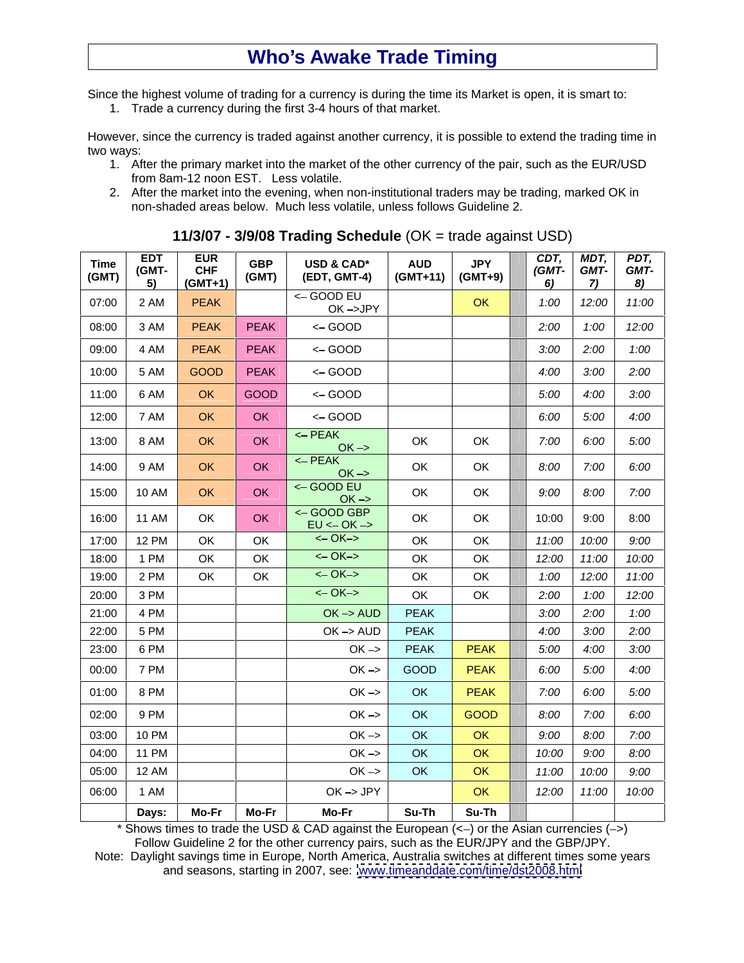## **Who s Awake Trade Timing**

Since the highest volume of trading for a currency is during the time its Market is open, it is smart to:

1. Trade a currency during the first 3-4 hours of that market.

However, since the currency is traded against another currency, it is possible to extend the trading time in two ways:

- 1. After the primary market into the market of the other currency of the pair, such as the EUR/USD from 8am-12 noon EST. Less volatile.
- 2. After the market into the evening, when non-institutional traders may be trading, marked OK in non-shaded areas below. Much less volatile, unless follows Guideline 2.

| Time<br>(GMT) | EDT<br>(GMT-<br>$\frac{5}{2}$ | EUR<br>CHF<br>(GMT+1) | GBP<br>(GMT) | <b>USD &amp; CAD*</b><br>(EDT, GMT-4) | AUD<br>(GMT+11) | <b>JPY</b><br>$(GMT+9)$ | CDT,<br>(GMT-<br>6) | MDT,<br>GMT-<br>7) | PDT,<br>GMT-<br>$\frac{8)}{2}$ |
|---------------|-------------------------------|-----------------------|--------------|---------------------------------------|-----------------|-------------------------|---------------------|--------------------|--------------------------------|
| 07:00         | 2 AM                          | PEAK                  |              | $\leftarrow$ GOOD EU<br>OK->JPY       |                 | OK                      | 1:00                | 12:00              | 11:00                          |
| 08:00         | 3 AM                          | <b>PEAK</b>           | PEAK         | <- GOOD                               |                 |                         | 2:00                | 1:00               | 12:00                          |
| 09:00         | 4 AM                          | PEAK                  | PEAK         | <- GOOD                               |                 |                         | 3:00                | 2:00               | 1:00                           |
| 10:00         | 5 AM                          | GOOD                  | PEAK         | $\leftarrow$ GOOD                     |                 |                         | 4:00                | 3:00               | 2:00                           |
| 11:00         | 6 AM                          | OK                    | GOOD         | $\leftarrow$ GOOD                     |                 |                         | 5:00                | 4:00               | 3:00                           |
| 12:00         | 7 AM                          | OK                    | OK           | $\leftarrow$ GOOD                     |                 |                         | 6:00                | 5:00               | 4:00                           |
| 13:00         | 8 AM                          | OK                    | OK           | $\leftarrow$ PEAK<br>$OK \rightarrow$ | OK              | OK                      | 7:00                | 6:00               | 5:00                           |
| 14:00         | 9 AM                          | OK                    | OK           | $\leftarrow$ PEAK<br>$OK \rightarrow$ | OK              | OK                      | 8:00                | 7:00               | 6:00                           |
| 15:00         | <b>10 AM</b>                  | OK                    | OK           | <- GOOD EU                            | OK              | OK                      | 9:00                | 8:00               | 7:00                           |
|               |                               |                       |              | $OK \rightarrow$<br><- GOOD GBP       |                 |                         |                     |                    |                                |
| 16:00         | 11 AM                         | OK                    | OK           | $EU \leftarrow OK \rightarrow$        | OK              | OK                      | 10:00               | 9:00               | 8:00                           |
| 17:00         | <b>12 PM</b>                  | OK                    | OK           | $<-OK->$                              | OK              | OK                      | 11:00               | 10:00              | 9:00                           |
| 18:00         | 1 PM                          | OK                    | OK           | $<-OK->$                              | OK              | OK                      | 12:00               | 11:00              | 10:00                          |
| 19:00         | 2 PM                          | OK                    | OK           | <- 0K->                               | OK              | OK                      | 1:00                | 12:00              | 11:00                          |
| 20:00         | 3 PM                          |                       |              | $<-OK->$                              | OK              | OK                      | 2:00                | 1:00               | 12:00                          |
| 21:00         | 4 PM                          |                       |              | $OK \rightarrow AUD$                  | PEAK            |                         | 3:00                | 2:00               | 1:00                           |
| 22:00         | 5 PM<br>6 PM                  |                       |              | $OK \rightarrow AUD$                  | PEAK            |                         | 4:00                | 3:00               | 2:00                           |
| 23:00         |                               |                       |              | $OK \rightarrow$                      | PEAK            | <b>PEAK</b>             | 5:00                | 4:00               | 3:00                           |
| 00:00         | 7 PM                          |                       |              | $OK \rightarrow$                      | GOOD            | PEAK                    | 6:00                | 5:00               | 4:00                           |
| 01:00         | 8 PM                          |                       |              | $OK \rightarrow$                      | OK              | <b>PEAK</b>             | 7:00                | 6:00               | 5:00                           |
| 02:00         | 9 PM                          |                       |              | $OK \rightarrow$                      | OK              | GOOD                    | 8:00                | 7:00               | 6:00                           |
| 03:00         | <b>10 PM</b>                  |                       |              | $OK \rightarrow$                      | OK              | OK                      | 9:00                | 8:00               | 7:00                           |
| 04:00         | <b>11 PM</b>                  |                       |              | $OK \rightarrow$                      | OK              | OK                      | 10:00               | 9:00               | 8:00                           |
| 05:00         | <b>12 AM</b>                  |                       |              | $OK \rightarrow$                      | OK              | OK                      | 11:00               | 10:00              | 9:00                           |
| 06:00         | 1 AM                          |                       |              | OK->JPY                               |                 | OK                      | 12:00               | 11:00              | 10:00                          |
|               | Days:                         | Mo-Fr                 | Mo-Fr        | <b>Mo-Fr</b>                          | Su-Th           | Su-Th                   |                     |                    |                                |

**11/3/07 - 3/9/08 Trading Schedule** (OK = trade against USD)

\* Shows times to trade the USD & CAD against the European  $(\leq)$  or the Asian currencies  $(\leq)$ Follow Guideline 2 for the other currency pairs, such as the EUR/JPY and the GBP/JPY. Note: Daylight savings time in Europe, North America, Australia switches at different times some years and seasons, starting in 2007, see: [www.timeanddate.com/time/dst2008.html](http://www.timeanddate.com/time/dst2008.html)